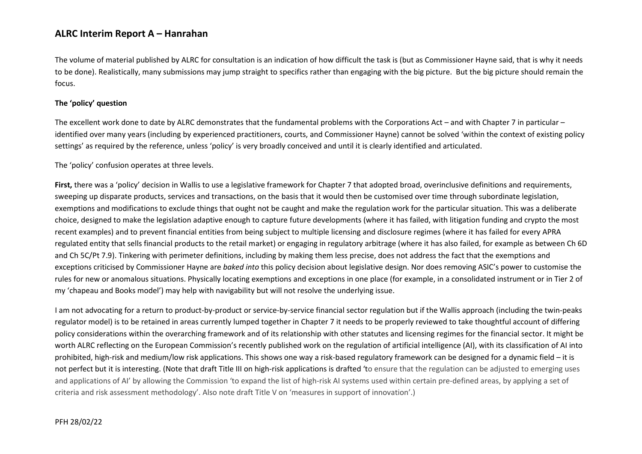The volume of material published by ALRC for consultation is an indication of how difficult the task is (but as Commissioner Hayne said, that is why it needs to be done). Realistically, many submissions may jump straight to specifics rather than engaging with the big picture. But the big picture should remain the focus.

#### **The 'policy' question**

The excellent work done to date by ALRC demonstrates that the fundamental problems with the Corporations Act – and with Chapter 7 in particular – identified over many years (including by experienced practitioners, courts, and Commissioner Hayne) cannot be solved 'within the context of existing policy settings' as required by the reference, unless 'policy' is very broadly conceived and until it is clearly identified and articulated.

The 'policy' confusion operates at three levels.

**First,** there was a 'policy' decision in Wallis to use a legislative framework for Chapter 7 that adopted broad, overinclusive definitions and requirements, sweeping up disparate products, services and transactions, on the basis that it would then be customised over time through subordinate legislation, exemptions and modifications to exclude things that ought not be caught and make the regulation work for the particular situation. This was a deliberate choice, designed to make the legislation adaptive enough to capture future developments (where it has failed, with litigation funding and crypto the most recent examples) and to prevent financial entities from being subject to multiple licensing and disclosure regimes (where it has failed for every APRA regulated entity that sells financial products to the retail market) or engaging in regulatory arbitrage (where it has also failed, for example as between Ch 6D and Ch 5C/Pt 7.9). Tinkering with perimeter definitions, including by making them less precise, does not address the fact that the exemptions and exceptions criticised by Commissioner Hayne are *baked into* this policy decision about legislative design. Nor does removing ASIC's power to customise the rules for new or anomalous situations. Physically locating exemptions and exceptions in one place (for example, in a consolidated instrument or in Tier 2 of my 'chapeau and Books model') may help with navigability but will not resolve the underlying issue.

I am not advocating for a return to product-by-product or service-by-service financial sector regulation but if the Wallis approach (including the twin-peaks regulator model) is to be retained in areas currently lumped together in Chapter 7 it needs to be properly reviewed to take thoughtful account of differing policy considerations within the overarching framework and of its relationship with other statutes and licensing regimes for the financial sector. It might be worth ALRC reflecting on the European Commission's recently published work on the regulation of artificial intelligence (AI), with its classification of AI into prohibited, high-risk and medium/low risk applications. This shows one way a risk-based regulatory framework can be designed for a dynamic field – it is not perfect but it is interesting. (Note that draft Title III on high-risk applications is drafted 'to ensure that the regulation can be adjusted to emerging uses and applications of AI' by allowing the Commission 'to expand the list of high-risk AI systems used within certain pre-defined areas, by applying a set of criteria and risk assessment methodology'. Also note draft Title V on 'measures in support of innovation'.)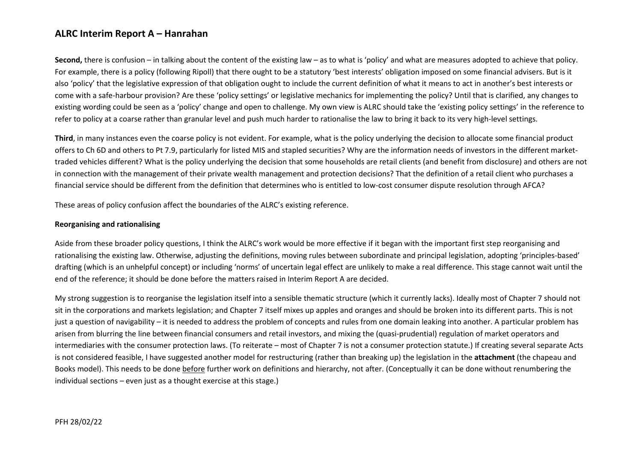**Second,** there is confusion – in talking about the content of the existing law – as to what is 'policy' and what are measures adopted to achieve that policy. For example, there is a policy (following Ripoll) that there ought to be a statutory 'best interests' obligation imposed on some financial advisers. But is it also 'policy' that the legislative expression of that obligation ought to include the current definition of what it means to act in another's best interests or come with a safe-harbour provision? Are these 'policy settings' or legislative mechanics for implementing the policy? Until that is clarified, any changes to existing wording could be seen as a 'policy' change and open to challenge. My own view is ALRC should take the 'existing policy settings' in the reference to refer to policy at a coarse rather than granular level and push much harder to rationalise the law to bring it back to its very high-level settings.

**Third**, in many instances even the coarse policy is not evident. For example, what is the policy underlying the decision to allocate some financial product offers to Ch 6D and others to Pt 7.9, particularly for listed MIS and stapled securities? Why are the information needs of investors in the different markettraded vehicles different? What is the policy underlying the decision that some households are retail clients (and benefit from disclosure) and others are not in connection with the management of their private wealth management and protection decisions? That the definition of a retail client who purchases a financial service should be different from the definition that determines who is entitled to low-cost consumer dispute resolution through AFCA?

These areas of policy confusion affect the boundaries of the ALRC's existing reference.

#### **Reorganising and rationalising**

Aside from these broader policy questions, I think the ALRC's work would be more effective if it began with the important first step reorganising and rationalising the existing law. Otherwise, adjusting the definitions, moving rules between subordinate and principal legislation, adopting 'principles-based' drafting (which is an unhelpful concept) or including 'norms' of uncertain legal effect are unlikely to make a real difference. This stage cannot wait until the end of the reference; it should be done before the matters raised in Interim Report A are decided.

My strong suggestion is to reorganise the legislation itself into a sensible thematic structure (which it currently lacks). Ideally most of Chapter 7 should not sit in the corporations and markets legislation; and Chapter 7 itself mixes up apples and oranges and should be broken into its different parts. This is not just a question of navigability – it is needed to address the problem of concepts and rules from one domain leaking into another. A particular problem has arisen from blurring the line between financial consumers and retail investors, and mixing the (quasi-prudential) regulation of market operators and intermediaries with the consumer protection laws. (To reiterate – most of Chapter 7 is not a consumer protection statute.) If creating several separate Acts is not considered feasible, I have suggested another model for restructuring (rather than breaking up) the legislation in the **attachment** (the chapeau and Books model). This needs to be done before further work on definitions and hierarchy, not after. (Conceptually it can be done without renumbering the individual sections – even just as a thought exercise at this stage.)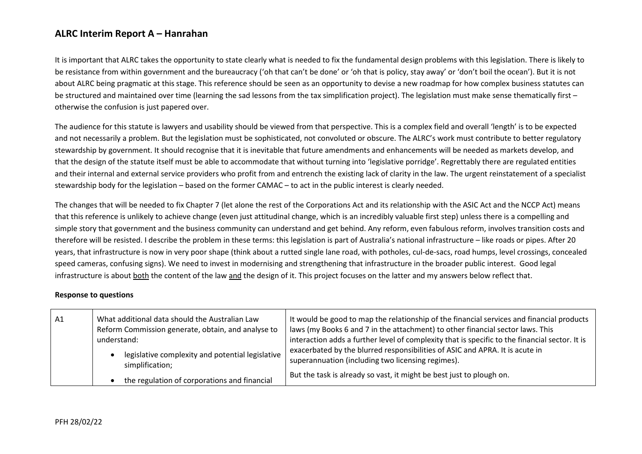It is important that ALRC takes the opportunity to state clearly what is needed to fix the fundamental design problems with this legislation. There is likely to be resistance from within government and the bureaucracy ('oh that can't be done' or 'oh that is policy, stay away' or 'don't boil the ocean'). But it is not about ALRC being pragmatic at this stage. This reference should be seen as an opportunity to devise a new roadmap for how complex business statutes can be structured and maintained over time (learning the sad lessons from the tax simplification project). The legislation must make sense thematically first otherwise the confusion is just papered over.

The audience for this statute is lawyers and usability should be viewed from that perspective. This is a complex field and overall 'length' is to be expected and not necessarily a problem. But the legislation must be sophisticated, not convoluted or obscure. The ALRC's work must contribute to better regulatory stewardship by government. It should recognise that it is inevitable that future amendments and enhancements will be needed as markets develop, and that the design of the statute itself must be able to accommodate that without turning into 'legislative porridge'. Regrettably there are regulated entities and their internal and external service providers who profit from and entrench the existing lack of clarity in the law. The urgent reinstatement of a specialist stewardship body for the legislation – based on the former CAMAC – to act in the public interest is clearly needed.

The changes that will be needed to fix Chapter 7 (let alone the rest of the Corporations Act and its relationship with the ASIC Act and the NCCP Act) means that this reference is unlikely to achieve change (even just attitudinal change, which is an incredibly valuable first step) unless there is a compelling and simple story that government and the business community can understand and get behind. Any reform, even fabulous reform, involves transition costs and therefore will be resisted. I describe the problem in these terms: this legislation is part of Australia's national infrastructure – like roads or pipes. After 20 years, that infrastructure is now in very poor shape (think about a rutted single lane road, with potholes, cul-de-sacs, road humps, level crossings, concealed speed cameras, confusing signs). We need to invest in modernising and strengthening that infrastructure in the broader public interest. Good legal infrastructure is about both the content of the law and the design of it. This project focuses on the latter and my answers below reflect that.

#### **Response to questions**

| A1 | What additional data should the Australian Law<br>Reform Commission generate, obtain, and analyse to<br>understand: | It would be good to map the relationship of the financial services and financial products<br>laws (my Books 6 and 7 in the attachment) to other financial sector laws. This<br>interaction adds a further level of complexity that is specific to the financial sector. It is |
|----|---------------------------------------------------------------------------------------------------------------------|-------------------------------------------------------------------------------------------------------------------------------------------------------------------------------------------------------------------------------------------------------------------------------|
|    | legislative complexity and potential legislative<br>simplification;                                                 | exacerbated by the blurred responsibilities of ASIC and APRA. It is acute in<br>superannuation (including two licensing regimes).                                                                                                                                             |
|    | the regulation of corporations and financial                                                                        | But the task is already so vast, it might be best just to plough on.                                                                                                                                                                                                          |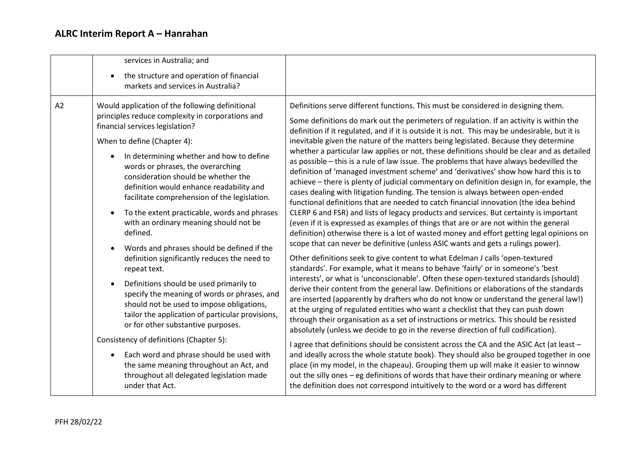|                                                                                                                                                                                                                                                                                                                                                           | services in Australia; and<br>$\bullet$                                                                                                                                                                                                                                                                                                                                                                                                                                                                                                                                                                                                                                                                           |                                                                                                                                                                                                                                                                                                                                                                                                                                                                                                                                                                                                                                                                                                                                                                                                                                                                                                                                                                                                                                                                                                                                                                                                                                                                                                      |
|-----------------------------------------------------------------------------------------------------------------------------------------------------------------------------------------------------------------------------------------------------------------------------------------------------------------------------------------------------------|-------------------------------------------------------------------------------------------------------------------------------------------------------------------------------------------------------------------------------------------------------------------------------------------------------------------------------------------------------------------------------------------------------------------------------------------------------------------------------------------------------------------------------------------------------------------------------------------------------------------------------------------------------------------------------------------------------------------|------------------------------------------------------------------------------------------------------------------------------------------------------------------------------------------------------------------------------------------------------------------------------------------------------------------------------------------------------------------------------------------------------------------------------------------------------------------------------------------------------------------------------------------------------------------------------------------------------------------------------------------------------------------------------------------------------------------------------------------------------------------------------------------------------------------------------------------------------------------------------------------------------------------------------------------------------------------------------------------------------------------------------------------------------------------------------------------------------------------------------------------------------------------------------------------------------------------------------------------------------------------------------------------------------|
|                                                                                                                                                                                                                                                                                                                                                           | the structure and operation of financial<br>markets and services in Australia?                                                                                                                                                                                                                                                                                                                                                                                                                                                                                                                                                                                                                                    |                                                                                                                                                                                                                                                                                                                                                                                                                                                                                                                                                                                                                                                                                                                                                                                                                                                                                                                                                                                                                                                                                                                                                                                                                                                                                                      |
| A2                                                                                                                                                                                                                                                                                                                                                        | Would application of the following definitional<br>principles reduce complexity in corporations and<br>financial services legislation?<br>When to define (Chapter 4):<br>In determining whether and how to define<br>$\bullet$<br>words or phrases, the overarching<br>consideration should be whether the<br>definition would enhance readability and<br>facilitate comprehension of the legislation.<br>To the extent practicable, words and phrases<br>$\bullet$<br>with an ordinary meaning should not be<br>defined.                                                                                                                                                                                         | Definitions serve different functions. This must be considered in designing them.<br>Some definitions do mark out the perimeters of regulation. If an activity is within the<br>definition if it regulated, and if it is outside it is not. This may be undesirable, but it is<br>inevitable given the nature of the matters being legislated. Because they determine<br>whether a particular law applies or not, these definitions should be clear and as detailed<br>as possible - this is a rule of law issue. The problems that have always bedevilled the<br>definition of 'managed investment scheme' and 'derivatives' show how hard this is to<br>achieve - there is plenty of judicial commentary on definition design in, for example, the<br>cases dealing with litigation funding. The tension is always between open-ended<br>functional definitions that are needed to catch financial innovation (the idea behind<br>CLERP 6 and FSR) and lists of legacy products and services. But certainty is important<br>(even if it is expressed as examples of things that are or are not within the general<br>definition) otherwise there is a lot of wasted money and effort getting legal opinions on<br>scope that can never be definitive (unless ASIC wants and gets a rulings power). |
| Words and phrases should be defined if the<br>definition significantly reduces the need to<br>repeat text.<br>Definitions should be used primarily to<br>$\bullet$<br>specify the meaning of words or phrases, and<br>should not be used to impose obligations,<br>tailor the application of particular provisions,<br>or for other substantive purposes. | Other definitions seek to give content to what Edelman J calls 'open-textured<br>standards'. For example, what it means to behave 'fairly' or in someone's 'best<br>interests', or what is 'unconscionable'. Often these open-textured standards (should)<br>derive their content from the general law. Definitions or elaborations of the standards<br>are inserted (apparently by drafters who do not know or understand the general law!)<br>at the urging of regulated entities who want a checklist that they can push down<br>through their organisation as a set of instructions or metrics. This should be resisted<br>absolutely (unless we decide to go in the reverse direction of full codification). |                                                                                                                                                                                                                                                                                                                                                                                                                                                                                                                                                                                                                                                                                                                                                                                                                                                                                                                                                                                                                                                                                                                                                                                                                                                                                                      |
|                                                                                                                                                                                                                                                                                                                                                           | Consistency of definitions (Chapter 5):<br>Each word and phrase should be used with<br>$\bullet$<br>the same meaning throughout an Act, and<br>throughout all delegated legislation made<br>under that Act.                                                                                                                                                                                                                                                                                                                                                                                                                                                                                                       | I agree that definitions should be consistent across the CA and the ASIC Act (at least -<br>and ideally across the whole statute book). They should also be grouped together in one<br>place (in my model, in the chapeau). Grouping them up will make it easier to winnow<br>out the silly ones - eg definitions of words that have their ordinary meaning or where<br>the definition does not correspond intuitively to the word or a word has different                                                                                                                                                                                                                                                                                                                                                                                                                                                                                                                                                                                                                                                                                                                                                                                                                                           |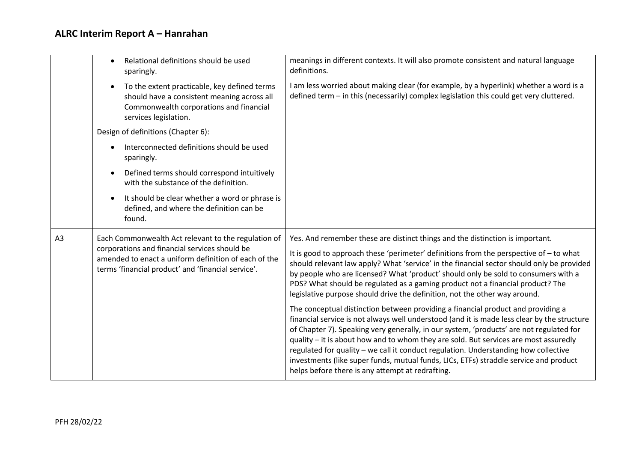|                                                                                                                                                                                                                                      | Relational definitions should be used<br>$\bullet$<br>sparingly.                                                                                                                                                                                                                                                                                                                                                                          | meanings in different contexts. It will also promote consistent and natural language<br>definitions.                                                                                                                                                                                                                                                                                                                                                                                                                                                                                                   |
|--------------------------------------------------------------------------------------------------------------------------------------------------------------------------------------------------------------------------------------|-------------------------------------------------------------------------------------------------------------------------------------------------------------------------------------------------------------------------------------------------------------------------------------------------------------------------------------------------------------------------------------------------------------------------------------------|--------------------------------------------------------------------------------------------------------------------------------------------------------------------------------------------------------------------------------------------------------------------------------------------------------------------------------------------------------------------------------------------------------------------------------------------------------------------------------------------------------------------------------------------------------------------------------------------------------|
|                                                                                                                                                                                                                                      | To the extent practicable, key defined terms<br>$\bullet$<br>should have a consistent meaning across all<br>Commonwealth corporations and financial<br>services legislation.                                                                                                                                                                                                                                                              | I am less worried about making clear (for example, by a hyperlink) whether a word is a<br>defined term - in this (necessarily) complex legislation this could get very cluttered.                                                                                                                                                                                                                                                                                                                                                                                                                      |
|                                                                                                                                                                                                                                      | Design of definitions (Chapter 6):                                                                                                                                                                                                                                                                                                                                                                                                        |                                                                                                                                                                                                                                                                                                                                                                                                                                                                                                                                                                                                        |
|                                                                                                                                                                                                                                      | Interconnected definitions should be used<br>$\bullet$<br>sparingly.                                                                                                                                                                                                                                                                                                                                                                      |                                                                                                                                                                                                                                                                                                                                                                                                                                                                                                                                                                                                        |
|                                                                                                                                                                                                                                      | Defined terms should correspond intuitively<br>$\bullet$<br>with the substance of the definition.                                                                                                                                                                                                                                                                                                                                         |                                                                                                                                                                                                                                                                                                                                                                                                                                                                                                                                                                                                        |
|                                                                                                                                                                                                                                      | It should be clear whether a word or phrase is<br>$\bullet$<br>defined, and where the definition can be<br>found.                                                                                                                                                                                                                                                                                                                         |                                                                                                                                                                                                                                                                                                                                                                                                                                                                                                                                                                                                        |
| A <sub>3</sub><br>Each Commonwealth Act relevant to the regulation of<br>corporations and financial services should be<br>amended to enact a uniform definition of each of the<br>terms 'financial product' and 'financial service'. |                                                                                                                                                                                                                                                                                                                                                                                                                                           | Yes. And remember these are distinct things and the distinction is important.                                                                                                                                                                                                                                                                                                                                                                                                                                                                                                                          |
|                                                                                                                                                                                                                                      | It is good to approach these 'perimeter' definitions from the perspective of - to what<br>should relevant law apply? What 'service' in the financial sector should only be provided<br>by people who are licensed? What 'product' should only be sold to consumers with a<br>PDS? What should be regulated as a gaming product not a financial product? The<br>legislative purpose should drive the definition, not the other way around. |                                                                                                                                                                                                                                                                                                                                                                                                                                                                                                                                                                                                        |
|                                                                                                                                                                                                                                      |                                                                                                                                                                                                                                                                                                                                                                                                                                           | The conceptual distinction between providing a financial product and providing a<br>financial service is not always well understood (and it is made less clear by the structure<br>of Chapter 7). Speaking very generally, in our system, 'products' are not regulated for<br>quality - it is about how and to whom they are sold. But services are most assuredly<br>regulated for quality - we call it conduct regulation. Understanding how collective<br>investments (like super funds, mutual funds, LICs, ETFs) straddle service and product<br>helps before there is any attempt at redrafting. |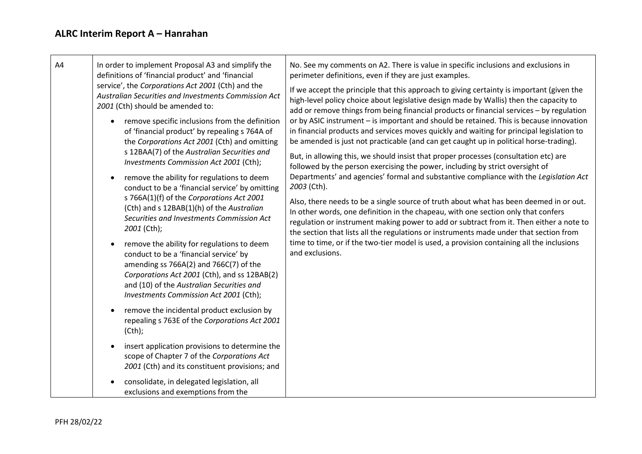| A4 | In order to implement Proposal A3 and simplify the<br>definitions of 'financial product' and 'financial                                                                                                                                                                            | No. See my comments on A2. There is value in specific inclusions and exclusions in<br>perimeter definitions, even if they are just examples.                                                                                                                                                                                                                                                                                                                                                                                                                                             |
|----|------------------------------------------------------------------------------------------------------------------------------------------------------------------------------------------------------------------------------------------------------------------------------------|------------------------------------------------------------------------------------------------------------------------------------------------------------------------------------------------------------------------------------------------------------------------------------------------------------------------------------------------------------------------------------------------------------------------------------------------------------------------------------------------------------------------------------------------------------------------------------------|
|    | service', the Corporations Act 2001 (Cth) and the<br>Australian Securities and Investments Commission Act<br>2001 (Cth) should be amended to:                                                                                                                                      | If we accept the principle that this approach to giving certainty is important (given the<br>high-level policy choice about legislative design made by Wallis) then the capacity to<br>add or remove things from being financial products or financial services - by regulation<br>or by ASIC instrument - is important and should be retained. This is because innovation<br>in financial products and services moves quickly and waiting for principal legislation to<br>be amended is just not practicable (and can get caught up in political horse-trading).                        |
|    | remove specific inclusions from the definition<br>$\bullet$<br>of 'financial product' by repealing s 764A of<br>the Corporations Act 2001 (Cth) and omitting                                                                                                                       |                                                                                                                                                                                                                                                                                                                                                                                                                                                                                                                                                                                          |
|    | s 12BAA(7) of the Australian Securities and<br>Investments Commission Act 2001 (Cth);                                                                                                                                                                                              | But, in allowing this, we should insist that proper processes (consultation etc) are<br>followed by the person exercising the power, including by strict oversight of                                                                                                                                                                                                                                                                                                                                                                                                                    |
|    | remove the ability for regulations to deem<br>$\bullet$<br>conduct to be a 'financial service' by omitting                                                                                                                                                                         | Departments' and agencies' formal and substantive compliance with the Legislation Act<br>2003 (Cth).<br>Also, there needs to be a single source of truth about what has been deemed in or out.<br>In other words, one definition in the chapeau, with one section only that confers<br>regulation or instrument making power to add or subtract from it. Then either a note to<br>the section that lists all the regulations or instruments made under that section from<br>time to time, or if the two-tier model is used, a provision containing all the inclusions<br>and exclusions. |
|    | s 766A(1)(f) of the Corporations Act 2001<br>(Cth) and s 12BAB(1)(h) of the Australian<br>Securities and Investments Commission Act<br>2001 (Cth);                                                                                                                                 |                                                                                                                                                                                                                                                                                                                                                                                                                                                                                                                                                                                          |
|    | remove the ability for regulations to deem<br>$\bullet$<br>conduct to be a 'financial service' by<br>amending ss 766A(2) and 766C(7) of the<br>Corporations Act 2001 (Cth), and ss 12BAB(2)<br>and (10) of the Australian Securities and<br>Investments Commission Act 2001 (Cth); |                                                                                                                                                                                                                                                                                                                                                                                                                                                                                                                                                                                          |
|    | remove the incidental product exclusion by<br>$\bullet$<br>repealing s 763E of the Corporations Act 2001<br>$(Cth)$ ;                                                                                                                                                              |                                                                                                                                                                                                                                                                                                                                                                                                                                                                                                                                                                                          |
|    | insert application provisions to determine the<br>$\bullet$<br>scope of Chapter 7 of the Corporations Act<br>2001 (Cth) and its constituent provisions; and                                                                                                                        |                                                                                                                                                                                                                                                                                                                                                                                                                                                                                                                                                                                          |
|    | consolidate, in delegated legislation, all<br>exclusions and exemptions from the                                                                                                                                                                                                   |                                                                                                                                                                                                                                                                                                                                                                                                                                                                                                                                                                                          |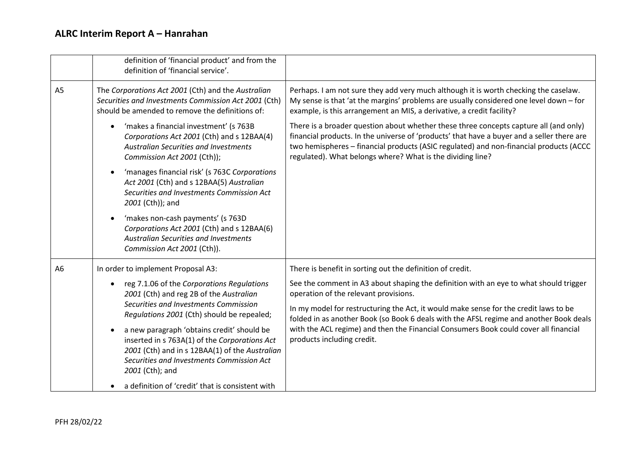|                | definition of 'financial product' and from the<br>definition of 'financial service'.                                                                                                                                       |                                                                                                                                                                                                                                                                                                                                             |
|----------------|----------------------------------------------------------------------------------------------------------------------------------------------------------------------------------------------------------------------------|---------------------------------------------------------------------------------------------------------------------------------------------------------------------------------------------------------------------------------------------------------------------------------------------------------------------------------------------|
| A <sub>5</sub> | The Corporations Act 2001 (Cth) and the Australian<br>Securities and Investments Commission Act 2001 (Cth)<br>should be amended to remove the definitions of:                                                              | Perhaps. I am not sure they add very much although it is worth checking the caselaw.<br>My sense is that 'at the margins' problems are usually considered one level down - for<br>example, is this arrangement an MIS, a derivative, a credit facility?                                                                                     |
|                | 'makes a financial investment' (s 763B<br>$\bullet$<br>Corporations Act 2001 (Cth) and s 12BAA(4)<br>Australian Securities and Investments<br>Commission Act 2001 (Cth));                                                  | There is a broader question about whether these three concepts capture all (and only)<br>financial products. In the universe of 'products' that have a buyer and a seller there are<br>two hemispheres - financial products (ASIC regulated) and non-financial products (ACCC<br>regulated). What belongs where? What is the dividing line? |
|                | 'manages financial risk' (s 763C Corporations<br>$\bullet$<br>Act 2001 (Cth) and s 12BAA(5) Australian<br>Securities and Investments Commission Act<br>2001 (Cth)); and                                                    |                                                                                                                                                                                                                                                                                                                                             |
|                | 'makes non-cash payments' (s 763D<br>$\bullet$<br>Corporations Act 2001 (Cth) and s 12BAA(6)<br>Australian Securities and Investments<br>Commission Act 2001 (Cth)).                                                       |                                                                                                                                                                                                                                                                                                                                             |
| A <sub>6</sub> | In order to implement Proposal A3:                                                                                                                                                                                         | There is benefit in sorting out the definition of credit.                                                                                                                                                                                                                                                                                   |
|                | reg 7.1.06 of the Corporations Regulations<br>$\bullet$<br>2001 (Cth) and reg 2B of the Australian<br>Securities and Investments Commission<br>Regulations 2001 (Cth) should be repealed;                                  | See the comment in A3 about shaping the definition with an eye to what should trigger<br>operation of the relevant provisions.                                                                                                                                                                                                              |
|                |                                                                                                                                                                                                                            | In my model for restructuring the Act, it would make sense for the credit laws to be<br>folded in as another Book (so Book 6 deals with the AFSL regime and another Book deals                                                                                                                                                              |
|                | a new paragraph 'obtains credit' should be<br>$\bullet$<br>inserted in s 763A(1) of the Corporations Act<br>2001 (Cth) and in s 12BAA(1) of the Australian<br>Securities and Investments Commission Act<br>2001 (Cth); and | with the ACL regime) and then the Financial Consumers Book could cover all financial<br>products including credit.                                                                                                                                                                                                                          |
|                | a definition of 'credit' that is consistent with<br>$\bullet$                                                                                                                                                              |                                                                                                                                                                                                                                                                                                                                             |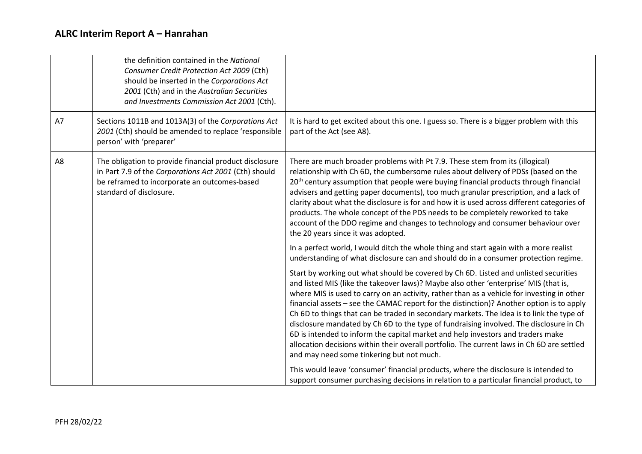|    | the definition contained in the National<br>Consumer Credit Protection Act 2009 (Cth)<br>should be inserted in the Corporations Act<br>2001 (Cth) and in the Australian Securities<br>and Investments Commission Act 2001 (Cth). |                                                                                                                                                                                                                                                                                                                                                                                                                                                                                                                                                                                                                                                                                                                                                                                            |
|----|----------------------------------------------------------------------------------------------------------------------------------------------------------------------------------------------------------------------------------|--------------------------------------------------------------------------------------------------------------------------------------------------------------------------------------------------------------------------------------------------------------------------------------------------------------------------------------------------------------------------------------------------------------------------------------------------------------------------------------------------------------------------------------------------------------------------------------------------------------------------------------------------------------------------------------------------------------------------------------------------------------------------------------------|
| A7 | Sections 1011B and 1013A(3) of the Corporations Act<br>2001 (Cth) should be amended to replace 'responsible<br>person' with 'preparer'                                                                                           | It is hard to get excited about this one. I guess so. There is a bigger problem with this<br>part of the Act (see A8).                                                                                                                                                                                                                                                                                                                                                                                                                                                                                                                                                                                                                                                                     |
| A8 | The obligation to provide financial product disclosure<br>in Part 7.9 of the Corporations Act 2001 (Cth) should<br>be reframed to incorporate an outcomes-based<br>standard of disclosure.                                       | There are much broader problems with Pt 7.9. These stem from its (illogical)<br>relationship with Ch 6D, the cumbersome rules about delivery of PDSs (based on the<br>20 <sup>th</sup> century assumption that people were buying financial products through financial<br>advisers and getting paper documents), too much granular prescription, and a lack of<br>clarity about what the disclosure is for and how it is used across different categories of<br>products. The whole concept of the PDS needs to be completely reworked to take<br>account of the DDO regime and changes to technology and consumer behaviour over<br>the 20 years since it was adopted.                                                                                                                    |
|    |                                                                                                                                                                                                                                  | In a perfect world, I would ditch the whole thing and start again with a more realist<br>understanding of what disclosure can and should do in a consumer protection regime.                                                                                                                                                                                                                                                                                                                                                                                                                                                                                                                                                                                                               |
|    |                                                                                                                                                                                                                                  | Start by working out what should be covered by Ch 6D. Listed and unlisted securities<br>and listed MIS (like the takeover laws)? Maybe also other 'enterprise' MIS (that is,<br>where MIS is used to carry on an activity, rather than as a vehicle for investing in other<br>financial assets - see the CAMAC report for the distinction)? Another option is to apply<br>Ch 6D to things that can be traded in secondary markets. The idea is to link the type of<br>disclosure mandated by Ch 6D to the type of fundraising involved. The disclosure in Ch<br>6D is intended to inform the capital market and help investors and traders make<br>allocation decisions within their overall portfolio. The current laws in Ch 6D are settled<br>and may need some tinkering but not much. |
|    |                                                                                                                                                                                                                                  | This would leave 'consumer' financial products, where the disclosure is intended to<br>support consumer purchasing decisions in relation to a particular financial product, to                                                                                                                                                                                                                                                                                                                                                                                                                                                                                                                                                                                                             |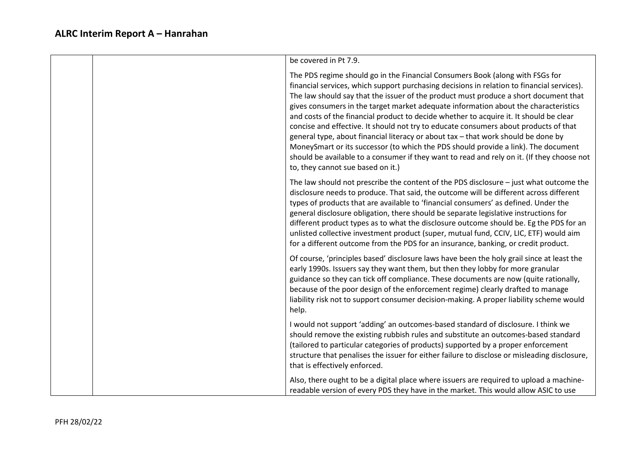| be covered in Pt 7.9.                                                                                                                                                                                                                                                                                                                                                                                                                                                                                                                                                                                                                                                                                                                                                                                                                                      |
|------------------------------------------------------------------------------------------------------------------------------------------------------------------------------------------------------------------------------------------------------------------------------------------------------------------------------------------------------------------------------------------------------------------------------------------------------------------------------------------------------------------------------------------------------------------------------------------------------------------------------------------------------------------------------------------------------------------------------------------------------------------------------------------------------------------------------------------------------------|
| The PDS regime should go in the Financial Consumers Book (along with FSGs for<br>financial services, which support purchasing decisions in relation to financial services).<br>The law should say that the issuer of the product must produce a short document that<br>gives consumers in the target market adequate information about the characteristics<br>and costs of the financial product to decide whether to acquire it. It should be clear<br>concise and effective. It should not try to educate consumers about products of that<br>general type, about financial literacy or about tax - that work should be done by<br>MoneySmart or its successor (to which the PDS should provide a link). The document<br>should be available to a consumer if they want to read and rely on it. (If they choose not<br>to, they cannot sue based on it.) |
| The law should not prescribe the content of the PDS disclosure $-$ just what outcome the<br>disclosure needs to produce. That said, the outcome will be different across different<br>types of products that are available to 'financial consumers' as defined. Under the<br>general disclosure obligation, there should be separate legislative instructions for<br>different product types as to what the disclosure outcome should be. Eg the PDS for an<br>unlisted collective investment product (super, mutual fund, CCIV, LIC, ETF) would aim<br>for a different outcome from the PDS for an insurance, banking, or credit product.                                                                                                                                                                                                                 |
| Of course, 'principles based' disclosure laws have been the holy grail since at least the<br>early 1990s. Issuers say they want them, but then they lobby for more granular<br>guidance so they can tick off compliance. These documents are now (quite rationally,<br>because of the poor design of the enforcement regime) clearly drafted to manage<br>liability risk not to support consumer decision-making. A proper liability scheme would<br>help.                                                                                                                                                                                                                                                                                                                                                                                                 |
| I would not support 'adding' an outcomes-based standard of disclosure. I think we<br>should remove the existing rubbish rules and substitute an outcomes-based standard<br>(tailored to particular categories of products) supported by a proper enforcement<br>structure that penalises the issuer for either failure to disclose or misleading disclosure,<br>that is effectively enforced.                                                                                                                                                                                                                                                                                                                                                                                                                                                              |
| Also, there ought to be a digital place where issuers are required to upload a machine-<br>readable version of every PDS they have in the market. This would allow ASIC to use                                                                                                                                                                                                                                                                                                                                                                                                                                                                                                                                                                                                                                                                             |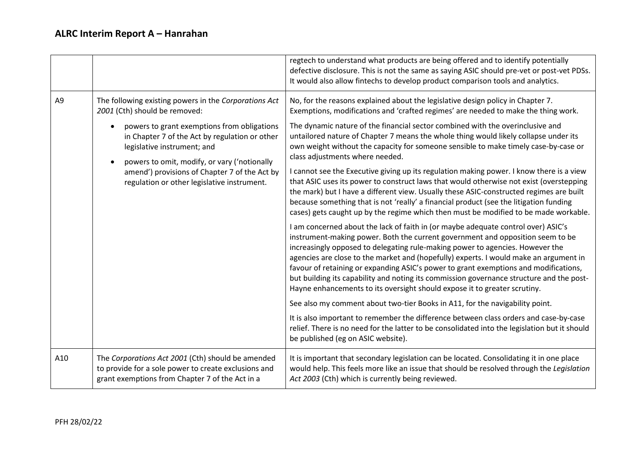|                                                                                                                                                                                                                                                                                           |                                                                                                                                                                                                                                                                                                  | regtech to understand what products are being offered and to identify potentially<br>defective disclosure. This is not the same as saying ASIC should pre-vet or post-vet PDSs.<br>It would also allow fintechs to develop product comparison tools and analytics.                                                                                                                                                                                                                                                                                                                                             |
|-------------------------------------------------------------------------------------------------------------------------------------------------------------------------------------------------------------------------------------------------------------------------------------------|--------------------------------------------------------------------------------------------------------------------------------------------------------------------------------------------------------------------------------------------------------------------------------------------------|----------------------------------------------------------------------------------------------------------------------------------------------------------------------------------------------------------------------------------------------------------------------------------------------------------------------------------------------------------------------------------------------------------------------------------------------------------------------------------------------------------------------------------------------------------------------------------------------------------------|
| A <sub>9</sub>                                                                                                                                                                                                                                                                            | The following existing powers in the Corporations Act<br>2001 (Cth) should be removed:                                                                                                                                                                                                           | No, for the reasons explained about the legislative design policy in Chapter 7.<br>Exemptions, modifications and 'crafted regimes' are needed to make the thing work.                                                                                                                                                                                                                                                                                                                                                                                                                                          |
| powers to grant exemptions from obligations<br>in Chapter 7 of the Act by regulation or other<br>legislative instrument; and<br>powers to omit, modify, or vary ('notionally<br>$\bullet$<br>amend') provisions of Chapter 7 of the Act by<br>regulation or other legislative instrument. | The dynamic nature of the financial sector combined with the overinclusive and<br>untailored nature of Chapter 7 means the whole thing would likely collapse under its<br>own weight without the capacity for someone sensible to make timely case-by-case or<br>class adjustments where needed. |                                                                                                                                                                                                                                                                                                                                                                                                                                                                                                                                                                                                                |
|                                                                                                                                                                                                                                                                                           |                                                                                                                                                                                                                                                                                                  | I cannot see the Executive giving up its regulation making power. I know there is a view<br>that ASIC uses its power to construct laws that would otherwise not exist (overstepping<br>the mark) but I have a different view. Usually these ASIC-constructed regimes are built<br>because something that is not 'really' a financial product (see the litigation funding<br>cases) gets caught up by the regime which then must be modified to be made workable.                                                                                                                                               |
|                                                                                                                                                                                                                                                                                           |                                                                                                                                                                                                                                                                                                  | I am concerned about the lack of faith in (or maybe adequate control over) ASIC's<br>instrument-making power. Both the current government and opposition seem to be<br>increasingly opposed to delegating rule-making power to agencies. However the<br>agencies are close to the market and (hopefully) experts. I would make an argument in<br>favour of retaining or expanding ASIC's power to grant exemptions and modifications,<br>but building its capability and noting its commission governance structure and the post-<br>Hayne enhancements to its oversight should expose it to greater scrutiny. |
|                                                                                                                                                                                                                                                                                           |                                                                                                                                                                                                                                                                                                  | See also my comment about two-tier Books in A11, for the navigability point.                                                                                                                                                                                                                                                                                                                                                                                                                                                                                                                                   |
|                                                                                                                                                                                                                                                                                           |                                                                                                                                                                                                                                                                                                  | It is also important to remember the difference between class orders and case-by-case<br>relief. There is no need for the latter to be consolidated into the legislation but it should<br>be published (eg on ASIC website).                                                                                                                                                                                                                                                                                                                                                                                   |
| A10                                                                                                                                                                                                                                                                                       | The Corporations Act 2001 (Cth) should be amended<br>to provide for a sole power to create exclusions and<br>grant exemptions from Chapter 7 of the Act in a                                                                                                                                     | It is important that secondary legislation can be located. Consolidating it in one place<br>would help. This feels more like an issue that should be resolved through the Legislation<br>Act 2003 (Cth) which is currently being reviewed.                                                                                                                                                                                                                                                                                                                                                                     |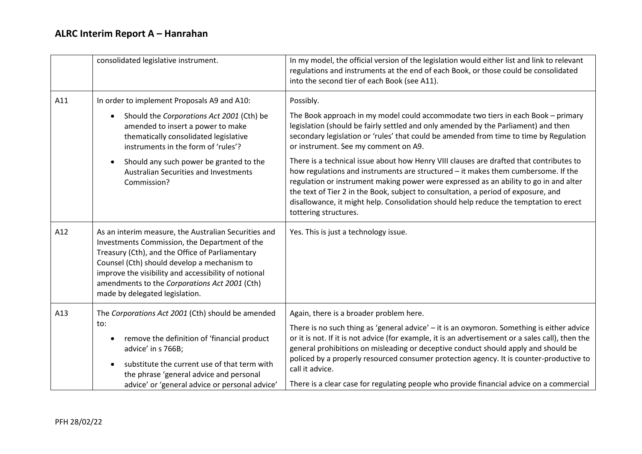|     | consolidated legislative instrument.                                                                                                                                                                                                                                                                                                               | In my model, the official version of the legislation would either list and link to relevant<br>regulations and instruments at the end of each Book, or those could be consolidated<br>into the second tier of each Book (see A11).                                                                                                                                                                                                                                                                                                                                                                                                                                                                                                                                                                     |
|-----|----------------------------------------------------------------------------------------------------------------------------------------------------------------------------------------------------------------------------------------------------------------------------------------------------------------------------------------------------|--------------------------------------------------------------------------------------------------------------------------------------------------------------------------------------------------------------------------------------------------------------------------------------------------------------------------------------------------------------------------------------------------------------------------------------------------------------------------------------------------------------------------------------------------------------------------------------------------------------------------------------------------------------------------------------------------------------------------------------------------------------------------------------------------------|
| A11 | In order to implement Proposals A9 and A10:<br>Should the Corporations Act 2001 (Cth) be<br>$\bullet$<br>amended to insert a power to make<br>thematically consolidated legislative<br>instruments in the form of 'rules'?<br>Should any such power be granted to the<br>$\bullet$<br><b>Australian Securities and Investments</b><br>Commission?  | Possibly.<br>The Book approach in my model could accommodate two tiers in each Book - primary<br>legislation (should be fairly settled and only amended by the Parliament) and then<br>secondary legislation or 'rules' that could be amended from time to time by Regulation<br>or instrument. See my comment on A9.<br>There is a technical issue about how Henry VIII clauses are drafted that contributes to<br>how regulations and instruments are structured - it makes them cumbersome. If the<br>regulation or instrument making power were expressed as an ability to go in and alter<br>the text of Tier 2 in the Book, subject to consultation, a period of exposure, and<br>disallowance, it might help. Consolidation should help reduce the temptation to erect<br>tottering structures. |
| A12 | As an interim measure, the Australian Securities and<br>Investments Commission, the Department of the<br>Treasury (Cth), and the Office of Parliamentary<br>Counsel (Cth) should develop a mechanism to<br>improve the visibility and accessibility of notional<br>amendments to the Corporations Act 2001 (Cth)<br>made by delegated legislation. | Yes. This is just a technology issue.                                                                                                                                                                                                                                                                                                                                                                                                                                                                                                                                                                                                                                                                                                                                                                  |
| A13 | The Corporations Act 2001 (Cth) should be amended<br>to:<br>remove the definition of 'financial product<br>٠<br>advice' in s 766B;<br>substitute the current use of that term with<br>$\bullet$<br>the phrase 'general advice and personal<br>advice' or 'general advice or personal advice'                                                       | Again, there is a broader problem here.<br>There is no such thing as 'general advice' - it is an oxymoron. Something is either advice<br>or it is not. If it is not advice (for example, it is an advertisement or a sales call), then the<br>general prohibitions on misleading or deceptive conduct should apply and should be<br>policed by a properly resourced consumer protection agency. It is counter-productive to<br>call it advice.<br>There is a clear case for regulating people who provide financial advice on a commercial                                                                                                                                                                                                                                                             |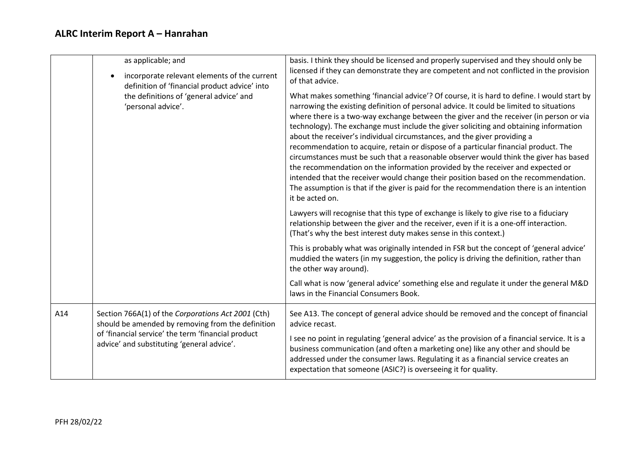|                                                               | as applicable; and<br>incorporate relevant elements of the current<br>definition of 'financial product advice' into                                                                                                                                                                                                                                                                                                                                                                                                                                                                                                                                                                                                                                                                                                                                                                                                          | basis. I think they should be licensed and properly supervised and they should only be<br>licensed if they can demonstrate they are competent and not conflicted in the provision<br>of that advice.                                                                                                                                      |
|---------------------------------------------------------------|------------------------------------------------------------------------------------------------------------------------------------------------------------------------------------------------------------------------------------------------------------------------------------------------------------------------------------------------------------------------------------------------------------------------------------------------------------------------------------------------------------------------------------------------------------------------------------------------------------------------------------------------------------------------------------------------------------------------------------------------------------------------------------------------------------------------------------------------------------------------------------------------------------------------------|-------------------------------------------------------------------------------------------------------------------------------------------------------------------------------------------------------------------------------------------------------------------------------------------------------------------------------------------|
| the definitions of 'general advice' and<br>'personal advice'. | What makes something 'financial advice'? Of course, it is hard to define. I would start by<br>narrowing the existing definition of personal advice. It could be limited to situations<br>where there is a two-way exchange between the giver and the receiver (in person or via<br>technology). The exchange must include the giver soliciting and obtaining information<br>about the receiver's individual circumstances, and the giver providing a<br>recommendation to acquire, retain or dispose of a particular financial product. The<br>circumstances must be such that a reasonable observer would think the giver has based<br>the recommendation on the information provided by the receiver and expected or<br>intended that the receiver would change their position based on the recommendation.<br>The assumption is that if the giver is paid for the recommendation there is an intention<br>it be acted on. |                                                                                                                                                                                                                                                                                                                                           |
|                                                               |                                                                                                                                                                                                                                                                                                                                                                                                                                                                                                                                                                                                                                                                                                                                                                                                                                                                                                                              | Lawyers will recognise that this type of exchange is likely to give rise to a fiduciary<br>relationship between the giver and the receiver, even if it is a one-off interaction.<br>(That's why the best interest duty makes sense in this context.)                                                                                      |
|                                                               |                                                                                                                                                                                                                                                                                                                                                                                                                                                                                                                                                                                                                                                                                                                                                                                                                                                                                                                              | This is probably what was originally intended in FSR but the concept of 'general advice'<br>muddied the waters (in my suggestion, the policy is driving the definition, rather than<br>the other way around).                                                                                                                             |
|                                                               |                                                                                                                                                                                                                                                                                                                                                                                                                                                                                                                                                                                                                                                                                                                                                                                                                                                                                                                              | Call what is now 'general advice' something else and regulate it under the general M&D<br>laws in the Financial Consumers Book.                                                                                                                                                                                                           |
| A14                                                           | Section 766A(1) of the Corporations Act 2001 (Cth)<br>should be amended by removing from the definition<br>of 'financial service' the term 'financial product<br>advice' and substituting 'general advice'.                                                                                                                                                                                                                                                                                                                                                                                                                                                                                                                                                                                                                                                                                                                  | See A13. The concept of general advice should be removed and the concept of financial<br>advice recast.                                                                                                                                                                                                                                   |
|                                                               |                                                                                                                                                                                                                                                                                                                                                                                                                                                                                                                                                                                                                                                                                                                                                                                                                                                                                                                              | I see no point in regulating 'general advice' as the provision of a financial service. It is a<br>business communication (and often a marketing one) like any other and should be<br>addressed under the consumer laws. Regulating it as a financial service creates an<br>expectation that someone (ASIC?) is overseeing it for quality. |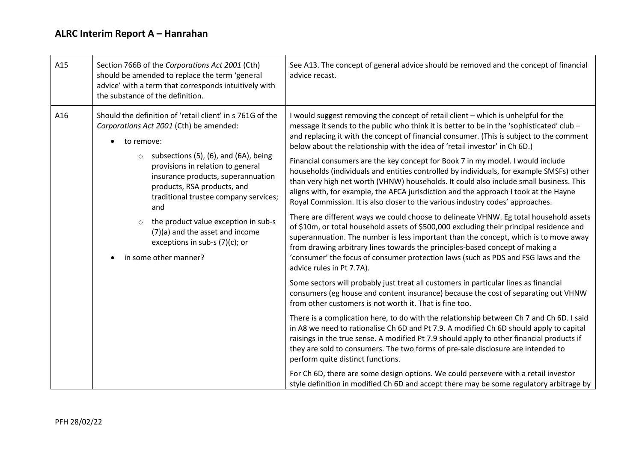| A15 | Section 766B of the Corporations Act 2001 (Cth)<br>should be amended to replace the term 'general<br>advice' with a term that corresponds intuitively with<br>the substance of the definition.                                                                                                                                                                                                                                                                            | See A13. The concept of general advice should be removed and the concept of financial<br>advice recast.                                                                                                                                                                                                                                                                                                                                                                                                                                                                                                                                                                                                                                                                                                                                                                                                                                                                                                                                                                                                                                                                                                                                                                                                                                                                                                                                                                                                                                                                                                                                                                                                                                                                                                                                                                                                                                             |
|-----|---------------------------------------------------------------------------------------------------------------------------------------------------------------------------------------------------------------------------------------------------------------------------------------------------------------------------------------------------------------------------------------------------------------------------------------------------------------------------|-----------------------------------------------------------------------------------------------------------------------------------------------------------------------------------------------------------------------------------------------------------------------------------------------------------------------------------------------------------------------------------------------------------------------------------------------------------------------------------------------------------------------------------------------------------------------------------------------------------------------------------------------------------------------------------------------------------------------------------------------------------------------------------------------------------------------------------------------------------------------------------------------------------------------------------------------------------------------------------------------------------------------------------------------------------------------------------------------------------------------------------------------------------------------------------------------------------------------------------------------------------------------------------------------------------------------------------------------------------------------------------------------------------------------------------------------------------------------------------------------------------------------------------------------------------------------------------------------------------------------------------------------------------------------------------------------------------------------------------------------------------------------------------------------------------------------------------------------------------------------------------------------------------------------------------------------------|
| A16 | Should the definition of 'retail client' in s 761G of the<br>Corporations Act 2001 (Cth) be amended:<br>to remove:<br>subsections (5), (6), and (6A), being<br>provisions in relation to general<br>insurance products, superannuation<br>products, RSA products, and<br>traditional trustee company services;<br>and<br>the product value exception in sub-s<br>$\circ$<br>(7)(a) and the asset and income<br>exceptions in sub-s $(7)(c)$ ; or<br>in some other manner? | I would suggest removing the concept of retail client - which is unhelpful for the<br>message it sends to the public who think it is better to be in the 'sophisticated' club -<br>and replacing it with the concept of financial consumer. (This is subject to the comment<br>below about the relationship with the idea of 'retail investor' in Ch 6D.)<br>Financial consumers are the key concept for Book 7 in my model. I would include<br>households (individuals and entities controlled by individuals, for example SMSFs) other<br>than very high net worth (VHNW) households. It could also include small business. This<br>aligns with, for example, the AFCA jurisdiction and the approach I took at the Hayne<br>Royal Commission. It is also closer to the various industry codes' approaches.<br>There are different ways we could choose to delineate VHNW. Eg total household assets<br>of \$10m, or total household assets of \$500,000 excluding their principal residence and<br>superannuation. The number is less important than the concept, which is to move away<br>from drawing arbitrary lines towards the principles-based concept of making a<br>'consumer' the focus of consumer protection laws (such as PDS and FSG laws and the<br>advice rules in Pt 7.7A).<br>Some sectors will probably just treat all customers in particular lines as financial<br>consumers (eg house and content insurance) because the cost of separating out VHNW<br>from other customers is not worth it. That is fine too.<br>There is a complication here, to do with the relationship between Ch 7 and Ch 6D. I said<br>in A8 we need to rationalise Ch 6D and Pt 7.9. A modified Ch 6D should apply to capital<br>raisings in the true sense. A modified Pt 7.9 should apply to other financial products if<br>they are sold to consumers. The two forms of pre-sale disclosure are intended to<br>perform quite distinct functions. |
|     |                                                                                                                                                                                                                                                                                                                                                                                                                                                                           | For Ch 6D, there are some design options. We could persevere with a retail investor<br>style definition in modified Ch 6D and accept there may be some regulatory arbitrage by                                                                                                                                                                                                                                                                                                                                                                                                                                                                                                                                                                                                                                                                                                                                                                                                                                                                                                                                                                                                                                                                                                                                                                                                                                                                                                                                                                                                                                                                                                                                                                                                                                                                                                                                                                      |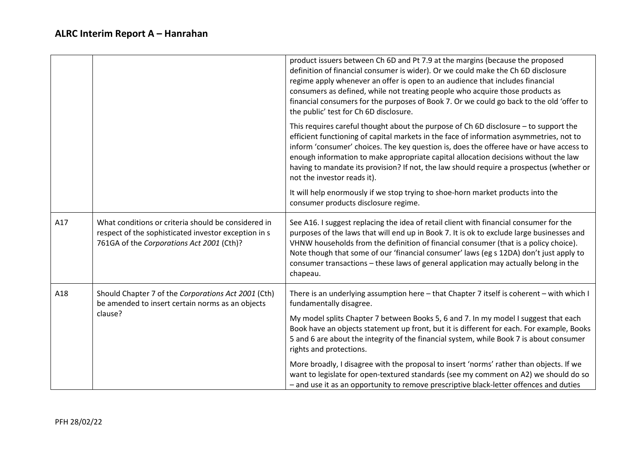|     |                                                                                                                                                          | product issuers between Ch 6D and Pt 7.9 at the margins (because the proposed<br>definition of financial consumer is wider). Or we could make the Ch 6D disclosure<br>regime apply whenever an offer is open to an audience that includes financial<br>consumers as defined, while not treating people who acquire those products as<br>financial consumers for the purposes of Book 7. Or we could go back to the old 'offer to<br>the public' test for Ch 6D disclosure.                   |
|-----|----------------------------------------------------------------------------------------------------------------------------------------------------------|----------------------------------------------------------------------------------------------------------------------------------------------------------------------------------------------------------------------------------------------------------------------------------------------------------------------------------------------------------------------------------------------------------------------------------------------------------------------------------------------|
|     |                                                                                                                                                          | This requires careful thought about the purpose of Ch 6D disclosure - to support the<br>efficient functioning of capital markets in the face of information asymmetries, not to<br>inform 'consumer' choices. The key question is, does the offeree have or have access to<br>enough information to make appropriate capital allocation decisions without the law<br>having to mandate its provision? If not, the law should require a prospectus (whether or<br>not the investor reads it). |
|     |                                                                                                                                                          | It will help enormously if we stop trying to shoe-horn market products into the<br>consumer products disclosure regime.                                                                                                                                                                                                                                                                                                                                                                      |
| A17 | What conditions or criteria should be considered in<br>respect of the sophisticated investor exception in s<br>761GA of the Corporations Act 2001 (Cth)? | See A16. I suggest replacing the idea of retail client with financial consumer for the<br>purposes of the laws that will end up in Book 7. It is ok to exclude large businesses and<br>VHNW households from the definition of financial consumer (that is a policy choice).<br>Note though that some of our 'financial consumer' laws (eg s 12DA) don't just apply to<br>consumer transactions - these laws of general application may actually belong in the<br>chapeau.                    |
| A18 | Should Chapter 7 of the Corporations Act 2001 (Cth)<br>be amended to insert certain norms as an objects                                                  | There is an underlying assumption here - that Chapter 7 itself is coherent - with which I<br>fundamentally disagree.                                                                                                                                                                                                                                                                                                                                                                         |
|     | clause?                                                                                                                                                  | My model splits Chapter 7 between Books 5, 6 and 7. In my model I suggest that each<br>Book have an objects statement up front, but it is different for each. For example, Books<br>5 and 6 are about the integrity of the financial system, while Book 7 is about consumer<br>rights and protections.                                                                                                                                                                                       |
|     |                                                                                                                                                          | More broadly, I disagree with the proposal to insert 'norms' rather than objects. If we<br>want to legislate for open-textured standards (see my comment on A2) we should do so<br>- and use it as an opportunity to remove prescriptive black-letter offences and duties                                                                                                                                                                                                                    |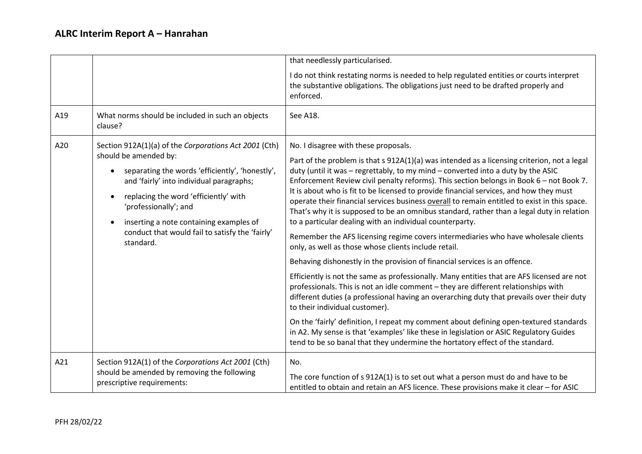|     |                                                                                                                                                                                                                                                                                                                                                                                                   | that needlessly particularised.                                                                                                                                                                                                                                                                                                                                                                                                                                                                                                                                                                                                                                                                                                                                                                                                                                                                                                                                                                                                                                                                                                                                                                                                                                                                                                                                                                                                                                                           |  |  |  |
|-----|---------------------------------------------------------------------------------------------------------------------------------------------------------------------------------------------------------------------------------------------------------------------------------------------------------------------------------------------------------------------------------------------------|-------------------------------------------------------------------------------------------------------------------------------------------------------------------------------------------------------------------------------------------------------------------------------------------------------------------------------------------------------------------------------------------------------------------------------------------------------------------------------------------------------------------------------------------------------------------------------------------------------------------------------------------------------------------------------------------------------------------------------------------------------------------------------------------------------------------------------------------------------------------------------------------------------------------------------------------------------------------------------------------------------------------------------------------------------------------------------------------------------------------------------------------------------------------------------------------------------------------------------------------------------------------------------------------------------------------------------------------------------------------------------------------------------------------------------------------------------------------------------------------|--|--|--|
|     |                                                                                                                                                                                                                                                                                                                                                                                                   | I do not think restating norms is needed to help regulated entities or courts interpret<br>the substantive obligations. The obligations just need to be drafted properly and<br>enforced.                                                                                                                                                                                                                                                                                                                                                                                                                                                                                                                                                                                                                                                                                                                                                                                                                                                                                                                                                                                                                                                                                                                                                                                                                                                                                                 |  |  |  |
| A19 | What norms should be included in such an objects<br>clause?                                                                                                                                                                                                                                                                                                                                       | See A18.                                                                                                                                                                                                                                                                                                                                                                                                                                                                                                                                                                                                                                                                                                                                                                                                                                                                                                                                                                                                                                                                                                                                                                                                                                                                                                                                                                                                                                                                                  |  |  |  |
| A20 | Section 912A(1)(a) of the Corporations Act 2001 (Cth)<br>should be amended by:<br>separating the words 'efficiently', 'honestly',<br>$\bullet$<br>and 'fairly' into individual paragraphs;<br>replacing the word 'efficiently' with<br>$\bullet$<br>'professionally'; and<br>inserting a note containing examples of<br>$\bullet$<br>conduct that would fail to satisfy the 'fairly'<br>standard. | No. I disagree with these proposals.<br>Part of the problem is that s 912A(1)(a) was intended as a licensing criterion, not a legal<br>duty (until it was - regrettably, to my mind - converted into a duty by the ASIC<br>Enforcement Review civil penalty reforms). This section belongs in Book 6 - not Book 7.<br>It is about who is fit to be licensed to provide financial services, and how they must<br>operate their financial services business overall to remain entitled to exist in this space.<br>That's why it is supposed to be an omnibus standard, rather than a legal duty in relation<br>to a particular dealing with an individual counterparty.<br>Remember the AFS licensing regime covers intermediaries who have wholesale clients<br>only, as well as those whose clients include retail.<br>Behaving dishonestly in the provision of financial services is an offence.<br>Efficiently is not the same as professionally. Many entities that are AFS licensed are not<br>professionals. This is not an idle comment - they are different relationships with<br>different duties (a professional having an overarching duty that prevails over their duty<br>to their individual customer).<br>On the 'fairly' definition, I repeat my comment about defining open-textured standards<br>in A2. My sense is that 'examples' like these in legislation or ASIC Regulatory Guides<br>tend to be so banal that they undermine the hortatory effect of the standard. |  |  |  |
| A21 | Section 912A(1) of the Corporations Act 2001 (Cth)<br>should be amended by removing the following<br>prescriptive requirements:                                                                                                                                                                                                                                                                   | No.<br>The core function of s 912A(1) is to set out what a person must do and have to be<br>entitled to obtain and retain an AFS licence. These provisions make it clear - for ASIC                                                                                                                                                                                                                                                                                                                                                                                                                                                                                                                                                                                                                                                                                                                                                                                                                                                                                                                                                                                                                                                                                                                                                                                                                                                                                                       |  |  |  |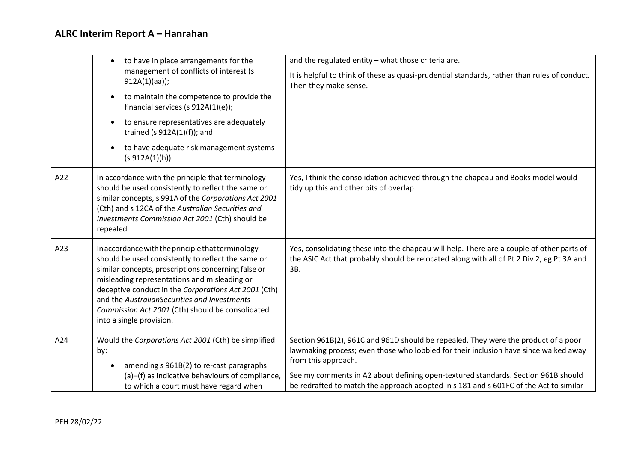|     | to have in place arrangements for the<br>$\bullet$                                                                                                                                                                                                                                                                                                                                                     | and the regulated entity - what those criteria are.                                                                                                                                               |  |  |
|-----|--------------------------------------------------------------------------------------------------------------------------------------------------------------------------------------------------------------------------------------------------------------------------------------------------------------------------------------------------------------------------------------------------------|---------------------------------------------------------------------------------------------------------------------------------------------------------------------------------------------------|--|--|
|     | management of conflicts of interest (s<br>$912A(1)(aa))$ ;                                                                                                                                                                                                                                                                                                                                             | It is helpful to think of these as quasi-prudential standards, rather than rules of conduct.<br>Then they make sense.                                                                             |  |  |
|     | to maintain the competence to provide the<br>$\bullet$<br>financial services (s $912A(1)(e)$ );                                                                                                                                                                                                                                                                                                        |                                                                                                                                                                                                   |  |  |
|     | to ensure representatives are adequately<br>$\bullet$<br>trained (s $912A(1)(f)$ ); and                                                                                                                                                                                                                                                                                                                |                                                                                                                                                                                                   |  |  |
|     | to have adequate risk management systems<br>$\bullet$<br>(s 912A(1)(h)).                                                                                                                                                                                                                                                                                                                               |                                                                                                                                                                                                   |  |  |
| A22 | In accordance with the principle that terminology<br>should be used consistently to reflect the same or<br>similar concepts, s 991A of the Corporations Act 2001<br>(Cth) and s 12CA of the Australian Securities and<br>Investments Commission Act 2001 (Cth) should be<br>repealed.                                                                                                                  | Yes, I think the consolidation achieved through the chapeau and Books model would<br>tidy up this and other bits of overlap.                                                                      |  |  |
| A23 | In accordance with the principle that terminology<br>should be used consistently to reflect the same or<br>similar concepts, proscriptions concerning false or<br>misleading representations and misleading or<br>deceptive conduct in the Corporations Act 2001 (Cth)<br>and the AustralianSecurities and Investments<br>Commission Act 2001 (Cth) should be consolidated<br>into a single provision. | Yes, consolidating these into the chapeau will help. There are a couple of other parts of<br>the ASIC Act that probably should be relocated along with all of Pt 2 Div 2, eg Pt 3A and<br>3B.     |  |  |
| A24 | Would the Corporations Act 2001 (Cth) be simplified<br>by:<br>amending s 961B(2) to re-cast paragraphs                                                                                                                                                                                                                                                                                                 | Section 961B(2), 961C and 961D should be repealed. They were the product of a poor<br>lawmaking process; even those who lobbied for their inclusion have since walked away<br>from this approach. |  |  |
|     | (a)-(f) as indicative behaviours of compliance,<br>to which a court must have regard when                                                                                                                                                                                                                                                                                                              | See my comments in A2 about defining open-textured standards. Section 961B should<br>be redrafted to match the approach adopted in s 181 and s 601FC of the Act to similar                        |  |  |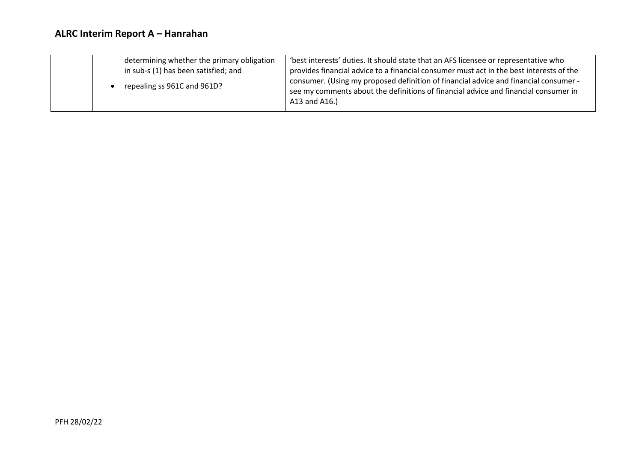| determining whether the primary obligation | 'best interests' duties. It should state that an AFS licensee or representative who                                                                                                          |
|--------------------------------------------|----------------------------------------------------------------------------------------------------------------------------------------------------------------------------------------------|
| in sub-s (1) has been satisfied; and       | provides financial advice to a financial consumer must act in the best interests of the                                                                                                      |
| repealing ss 961C and 961D?                | consumer. (Using my proposed definition of financial advice and financial consumer -<br>see my comments about the definitions of financial advice and financial consumer in<br>A13 and A16.) |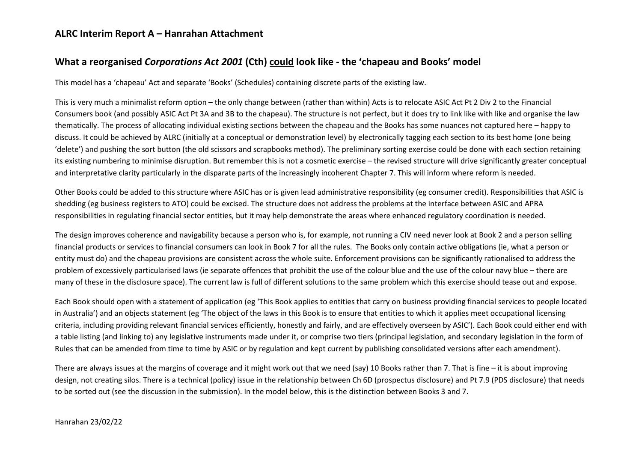### **ALRC Interim Report A – Hanrahan Attachment**

## **What a reorganised** *Corporations Act 2001* **(Cth) could look like - the 'chapeau and Books' model**

This model has a 'chapeau' Act and separate 'Books' (Schedules) containing discrete parts of the existing law.

This is very much a minimalist reform option – the only change between (rather than within) Acts is to relocate ASIC Act Pt 2 Div 2 to the Financial Consumers book (and possibly ASIC Act Pt 3A and 3B to the chapeau). The structure is not perfect, but it does try to link like with like and organise the law thematically. The process of allocating individual existing sections between the chapeau and the Books has some nuances not captured here – happy to discuss. It could be achieved by ALRC (initially at a conceptual or demonstration level) by electronically tagging each section to its best home (one being 'delete') and pushing the sort button (the old scissors and scrapbooks method). The preliminary sorting exercise could be done with each section retaining its existing numbering to minimise disruption. But remember this is not a cosmetic exercise – the revised structure will drive significantly greater conceptual and interpretative clarity particularly in the disparate parts of the increasingly incoherent Chapter 7. This will inform where reform is needed.

Other Books could be added to this structure where ASIC has or is given lead administrative responsibility (eg consumer credit). Responsibilities that ASIC is shedding (eg business registers to ATO) could be excised. The structure does not address the problems at the interface between ASIC and APRA responsibilities in regulating financial sector entities, but it may help demonstrate the areas where enhanced regulatory coordination is needed.

The design improves coherence and navigability because a person who is, for example, not running a CIV need never look at Book 2 and a person selling financial products or services to financial consumers can look in Book 7 for all the rules. The Books only contain active obligations (ie, what a person or entity must do) and the chapeau provisions are consistent across the whole suite. Enforcement provisions can be significantly rationalised to address the problem of excessively particularised laws (ie separate offences that prohibit the use of the colour blue and the use of the colour navy blue – there are many of these in the disclosure space). The current law is full of different solutions to the same problem which this exercise should tease out and expose.

Each Book should open with a statement of application (eg 'This Book applies to entities that carry on business providing financial services to people located in Australia') and an objects statement (eg 'The object of the laws in this Book is to ensure that entities to which it applies meet occupational licensing criteria, including providing relevant financial services efficiently, honestly and fairly, and are effectively overseen by ASIC'). Each Book could either end with a table listing (and linking to) any legislative instruments made under it, or comprise two tiers (principal legislation, and secondary legislation in the form of Rules that can be amended from time to time by ASIC or by regulation and kept current by publishing consolidated versions after each amendment).

There are always issues at the margins of coverage and it might work out that we need (say) 10 Books rather than 7. That is fine – it is about improving design, not creating silos. There is a technical (policy) issue in the relationship between Ch 6D (prospectus disclosure) and Pt 7.9 (PDS disclosure) that needs to be sorted out (see the discussion in the submission). In the model below, this is the distinction between Books 3 and 7.

Hanrahan 23/02/22